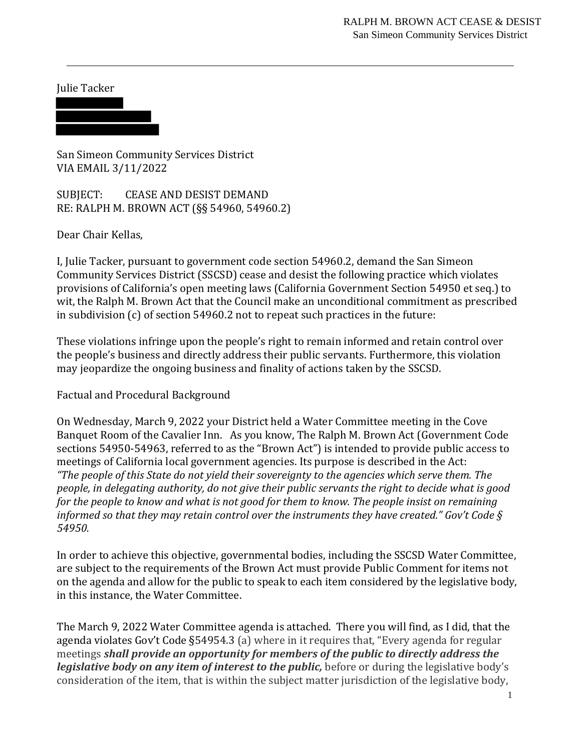Julie Tacker

San Simeon Community Services District VIA EMAIL 3/11/2022

SUBJECT: CEASE AND DESIST DEMAND RE: RALPH M. BROWN ACT (§§ 54960, 54960.2)

Dear Chair Kellas,

I, Julie Tacker, pursuant to government code section 54960.2, demand the San Simeon Community Services District (SSCSD) cease and desist the following practice which violates provisions of California's open meeting laws (California Government Section 54950 et seq.) to wit, the Ralph M. Brown Act that the Council make an unconditional commitment as prescribed in subdivision (c) of section 54960.2 not to repeat such practices in the future:

These violations infringe upon the people's right to remain informed and retain control over the people's business and directly address their public servants. Furthermore, this violation may jeopardize the ongoing business and finality of actions taken by the SSCSD.

Factual and Procedural Background

On Wednesday, March 9, 2022 your District held a Water Committee meeting in the Cove Banquet Room of the Cavalier Inn. As you know, The Ralph M. Brown Act (Government Code sections 54950-54963, referred to as the "Brown Act") is intended to provide public access to meetings of California local government agencies. Its purpose is described in the Act: *"The people of this State do not yield their sovereignty to the agencies which serve them. The people, in delegating authority, do not give their public servants the right to decide what is good for the people to know and what is not good for them to know. The people insist on remaining informed so that they may retain control over the instruments they have created." Gov't Code § 54950.*

In order to achieve this objective, governmental bodies, including the SSCSD Water Committee, are subject to the requirements of the Brown Act must provide Public Comment for items not on the agenda and allow for the public to speak to each item considered by the legislative body, in this instance, the Water Committee.

The March 9, 2022 Water Committee agenda is attached. There you will find, as I did, that the agenda violates Gov't Code §54954.3 (a) where in it requires that, "Every agenda for regular meetings *shall provide an opportunity for members of the public to directly address the legislative body on any item of interest to the public, before or during the legislative body's* consideration of the item, that is within the subject matter jurisdiction of the legislative body,